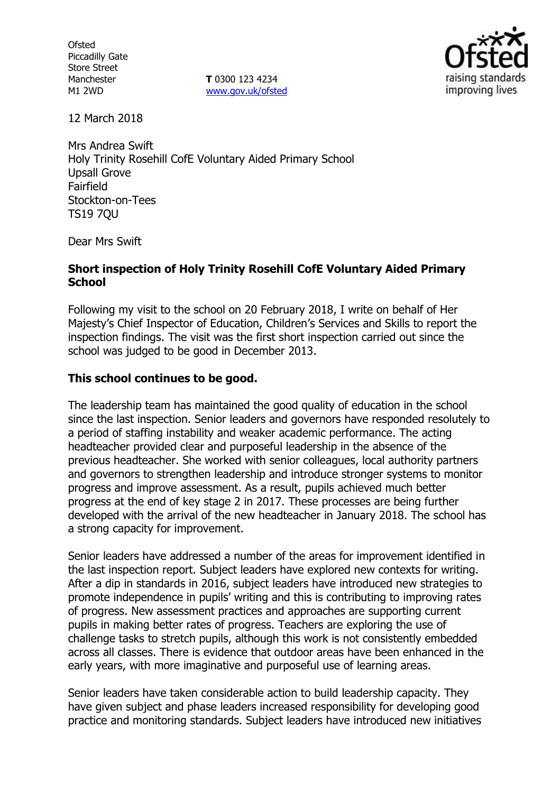**Ofsted** Piccadilly Gate Store Street Manchester M1 2WD

**T** 0300 123 4234 www.gov.uk/ofsted



12 March 2018

Mrs Andrea Swift Holy Trinity Rosehill CofE Voluntary Aided Primary School Upsall Grove Fairfield Stockton-on-Tees TS19 7QU

Dear Mrs Swift

#### **Short inspection of Holy Trinity Rosehill CofE Voluntary Aided Primary School**

Following my visit to the school on 20 February 2018, I write on behalf of Her Majesty's Chief Inspector of Education, Children's Services and Skills to report the inspection findings. The visit was the first short inspection carried out since the school was judged to be good in December 2013.

### **This school continues to be good.**

The leadership team has maintained the good quality of education in the school since the last inspection. Senior leaders and governors have responded resolutely to a period of staffing instability and weaker academic performance. The acting headteacher provided clear and purposeful leadership in the absence of the previous headteacher. She worked with senior colleagues, local authority partners and governors to strengthen leadership and introduce stronger systems to monitor progress and improve assessment. As a result, pupils achieved much better progress at the end of key stage 2 in 2017. These processes are being further developed with the arrival of the new headteacher in January 2018. The school has a strong capacity for improvement.

Senior leaders have addressed a number of the areas for improvement identified in the last inspection report. Subject leaders have explored new contexts for writing. After a dip in standards in 2016, subject leaders have introduced new strategies to promote independence in pupils' writing and this is contributing to improving rates of progress. New assessment practices and approaches are supporting current pupils in making better rates of progress. Teachers are exploring the use of challenge tasks to stretch pupils, although this work is not consistently embedded across all classes. There is evidence that outdoor areas have been enhanced in the early years, with more imaginative and purposeful use of learning areas.

Senior leaders have taken considerable action to build leadership capacity. They have given subject and phase leaders increased responsibility for developing good practice and monitoring standards. Subject leaders have introduced new initiatives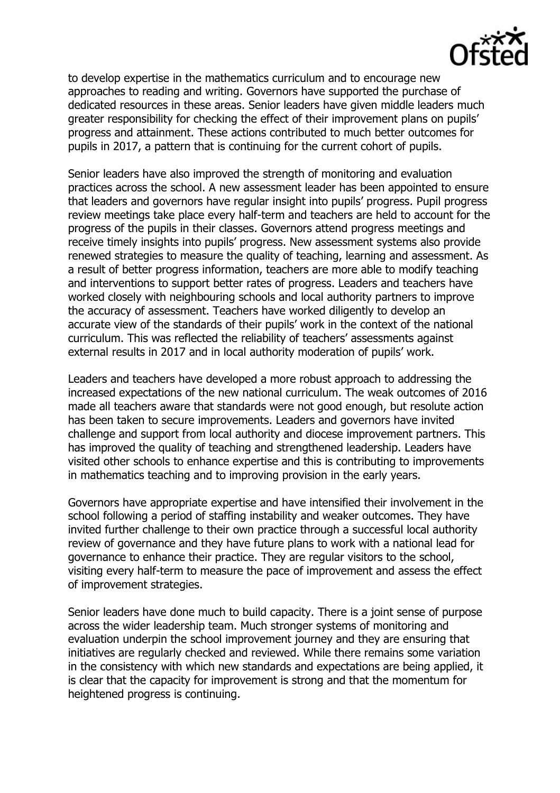

to develop expertise in the mathematics curriculum and to encourage new approaches to reading and writing. Governors have supported the purchase of dedicated resources in these areas. Senior leaders have given middle leaders much greater responsibility for checking the effect of their improvement plans on pupils' progress and attainment. These actions contributed to much better outcomes for pupils in 2017, a pattern that is continuing for the current cohort of pupils.

Senior leaders have also improved the strength of monitoring and evaluation practices across the school. A new assessment leader has been appointed to ensure that leaders and governors have regular insight into pupils' progress. Pupil progress review meetings take place every half-term and teachers are held to account for the progress of the pupils in their classes. Governors attend progress meetings and receive timely insights into pupils' progress. New assessment systems also provide renewed strategies to measure the quality of teaching, learning and assessment. As a result of better progress information, teachers are more able to modify teaching and interventions to support better rates of progress. Leaders and teachers have worked closely with neighbouring schools and local authority partners to improve the accuracy of assessment. Teachers have worked diligently to develop an accurate view of the standards of their pupils' work in the context of the national curriculum. This was reflected the reliability of teachers' assessments against external results in 2017 and in local authority moderation of pupils' work.

Leaders and teachers have developed a more robust approach to addressing the increased expectations of the new national curriculum. The weak outcomes of 2016 made all teachers aware that standards were not good enough, but resolute action has been taken to secure improvements. Leaders and governors have invited challenge and support from local authority and diocese improvement partners. This has improved the quality of teaching and strengthened leadership. Leaders have visited other schools to enhance expertise and this is contributing to improvements in mathematics teaching and to improving provision in the early years.

Governors have appropriate expertise and have intensified their involvement in the school following a period of staffing instability and weaker outcomes. They have invited further challenge to their own practice through a successful local authority review of governance and they have future plans to work with a national lead for governance to enhance their practice. They are regular visitors to the school, visiting every half-term to measure the pace of improvement and assess the effect of improvement strategies.

Senior leaders have done much to build capacity. There is a joint sense of purpose across the wider leadership team. Much stronger systems of monitoring and evaluation underpin the school improvement journey and they are ensuring that initiatives are regularly checked and reviewed. While there remains some variation in the consistency with which new standards and expectations are being applied, it is clear that the capacity for improvement is strong and that the momentum for heightened progress is continuing.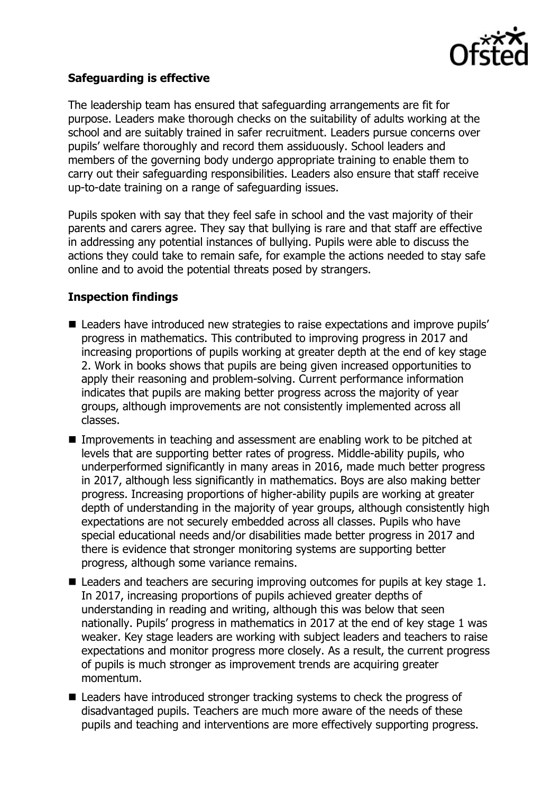

## **Safeguarding is effective**

The leadership team has ensured that safeguarding arrangements are fit for purpose. Leaders make thorough checks on the suitability of adults working at the school and are suitably trained in safer recruitment. Leaders pursue concerns over pupils' welfare thoroughly and record them assiduously. School leaders and members of the governing body undergo appropriate training to enable them to carry out their safeguarding responsibilities. Leaders also ensure that staff receive up-to-date training on a range of safeguarding issues.

Pupils spoken with say that they feel safe in school and the vast majority of their parents and carers agree. They say that bullying is rare and that staff are effective in addressing any potential instances of bullying. Pupils were able to discuss the actions they could take to remain safe, for example the actions needed to stay safe online and to avoid the potential threats posed by strangers.

## **Inspection findings**

- Leaders have introduced new strategies to raise expectations and improve pupils' progress in mathematics. This contributed to improving progress in 2017 and increasing proportions of pupils working at greater depth at the end of key stage 2. Work in books shows that pupils are being given increased opportunities to apply their reasoning and problem-solving. Current performance information indicates that pupils are making better progress across the majority of year groups, although improvements are not consistently implemented across all classes.
- Improvements in teaching and assessment are enabling work to be pitched at levels that are supporting better rates of progress. Middle-ability pupils, who underperformed significantly in many areas in 2016, made much better progress in 2017, although less significantly in mathematics. Boys are also making better progress. Increasing proportions of higher-ability pupils are working at greater depth of understanding in the majority of year groups, although consistently high expectations are not securely embedded across all classes. Pupils who have special educational needs and/or disabilities made better progress in 2017 and there is evidence that stronger monitoring systems are supporting better progress, although some variance remains.
- $\blacksquare$  Leaders and teachers are securing improving outcomes for pupils at key stage 1. In 2017, increasing proportions of pupils achieved greater depths of understanding in reading and writing, although this was below that seen nationally. Pupils' progress in mathematics in 2017 at the end of key stage 1 was weaker. Key stage leaders are working with subject leaders and teachers to raise expectations and monitor progress more closely. As a result, the current progress of pupils is much stronger as improvement trends are acquiring greater momentum.
- Leaders have introduced stronger tracking systems to check the progress of disadvantaged pupils. Teachers are much more aware of the needs of these pupils and teaching and interventions are more effectively supporting progress.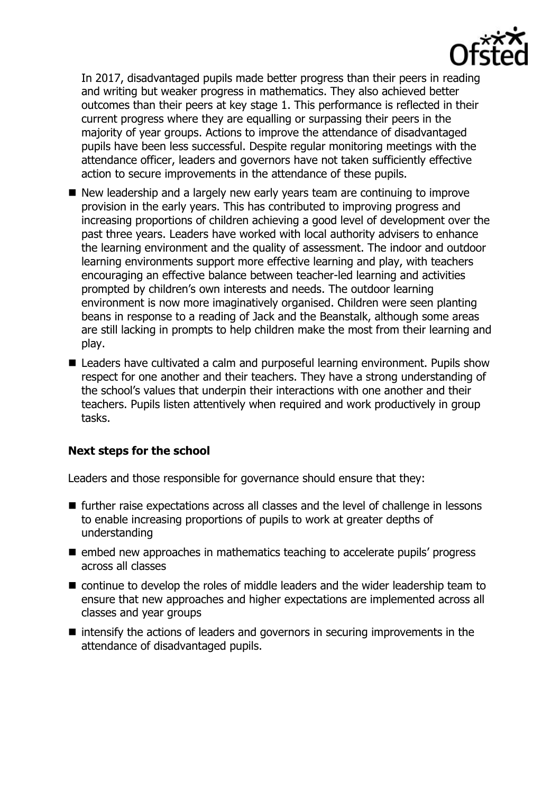

In 2017, disadvantaged pupils made better progress than their peers in reading and writing but weaker progress in mathematics. They also achieved better outcomes than their peers at key stage 1. This performance is reflected in their current progress where they are equalling or surpassing their peers in the majority of year groups. Actions to improve the attendance of disadvantaged pupils have been less successful. Despite regular monitoring meetings with the attendance officer, leaders and governors have not taken sufficiently effective action to secure improvements in the attendance of these pupils.

- New leadership and a largely new early years team are continuing to improve provision in the early years. This has contributed to improving progress and increasing proportions of children achieving a good level of development over the past three years. Leaders have worked with local authority advisers to enhance the learning environment and the quality of assessment. The indoor and outdoor learning environments support more effective learning and play, with teachers encouraging an effective balance between teacher-led learning and activities prompted by children's own interests and needs. The outdoor learning environment is now more imaginatively organised. Children were seen planting beans in response to a reading of Jack and the Beanstalk, although some areas are still lacking in prompts to help children make the most from their learning and play.
- Leaders have cultivated a calm and purposeful learning environment. Pupils show respect for one another and their teachers. They have a strong understanding of the school's values that underpin their interactions with one another and their teachers. Pupils listen attentively when required and work productively in group tasks.

# **Next steps for the school**

Leaders and those responsible for governance should ensure that they:

- further raise expectations across all classes and the level of challenge in lessons to enable increasing proportions of pupils to work at greater depths of understanding
- embed new approaches in mathematics teaching to accelerate pupils' progress across all classes
- continue to develop the roles of middle leaders and the wider leadership team to ensure that new approaches and higher expectations are implemented across all classes and year groups
- $\blacksquare$  intensify the actions of leaders and governors in securing improvements in the attendance of disadvantaged pupils.